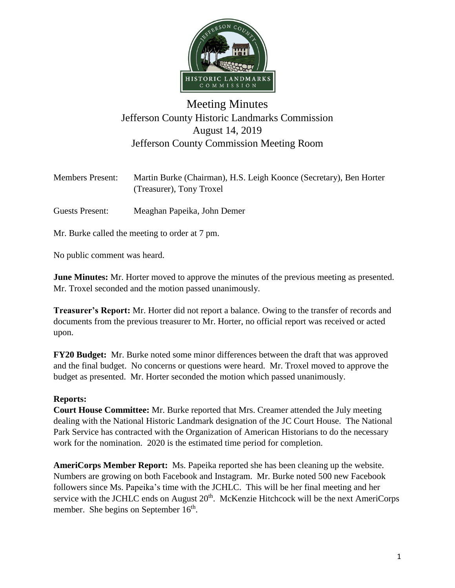

## Meeting Minutes Jefferson County Historic Landmarks Commission August 14, 2019 Jefferson County Commission Meeting Room

| <b>Members Present:</b> | Martin Burke (Chairman), H.S. Leigh Koonce (Secretary), Ben Horter |
|-------------------------|--------------------------------------------------------------------|
|                         | (Treasurer), Tony Troxel                                           |

Guests Present: Meaghan Papeika, John Demer

Mr. Burke called the meeting to order at 7 pm.

No public comment was heard.

**June Minutes:** Mr. Horter moved to approve the minutes of the previous meeting as presented. Mr. Troxel seconded and the motion passed unanimously.

**Treasurer's Report:** Mr. Horter did not report a balance. Owing to the transfer of records and documents from the previous treasurer to Mr. Horter, no official report was received or acted upon.

**FY20 Budget:** Mr. Burke noted some minor differences between the draft that was approved and the final budget. No concerns or questions were heard. Mr. Troxel moved to approve the budget as presented. Mr. Horter seconded the motion which passed unanimously.

## **Reports:**

**Court House Committee:** Mr. Burke reported that Mrs. Creamer attended the July meeting dealing with the National Historic Landmark designation of the JC Court House. The National Park Service has contracted with the Organization of American Historians to do the necessary work for the nomination. 2020 is the estimated time period for completion.

**AmeriCorps Member Report:** Ms. Papeika reported she has been cleaning up the website. Numbers are growing on both Facebook and Instagram. Mr. Burke noted 500 new Facebook followers since Ms. Papeika's time with the JCHLC. This will be her final meeting and her service with the JCHLC ends on August  $20<sup>th</sup>$ . McKenzie Hitchcock will be the next AmeriCorps member. She begins on September  $16<sup>th</sup>$ .